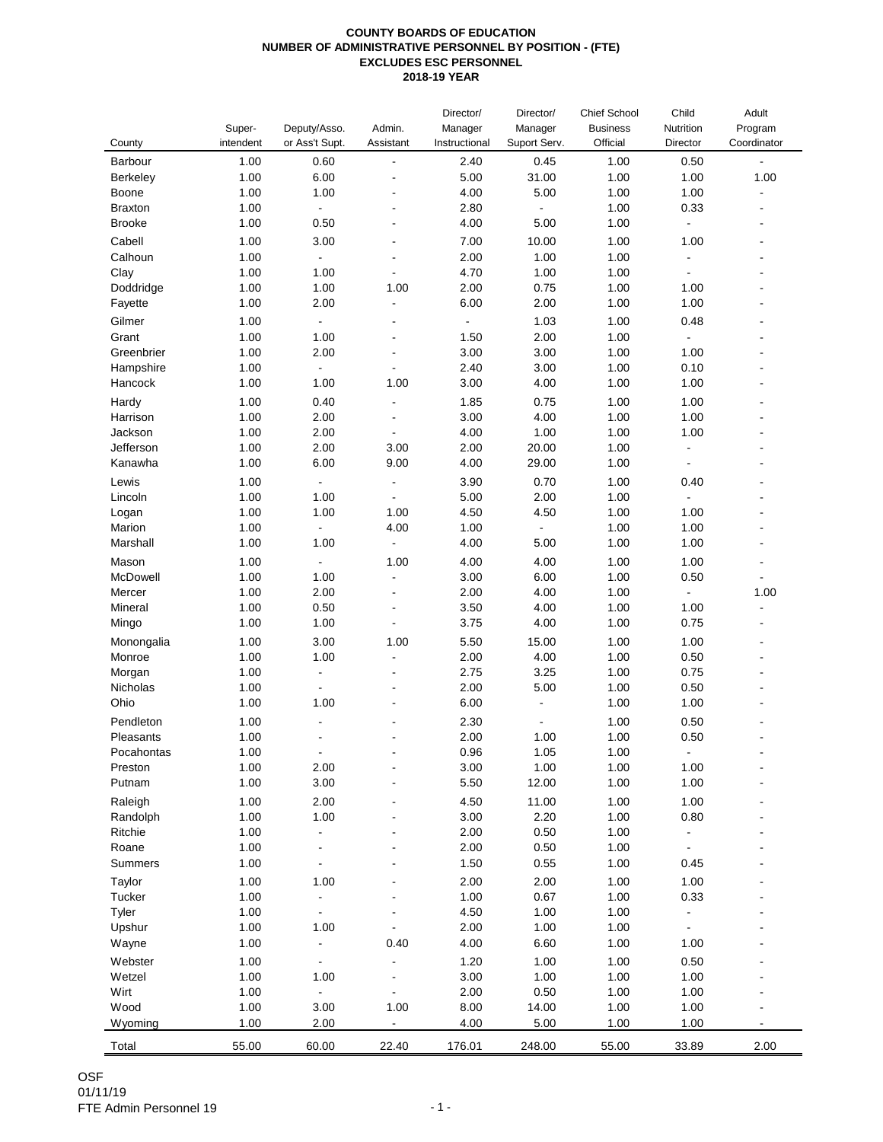## **COUNTY BOARDS OF EDUCATION NUMBER OF ADMINISTRATIVE PERSONNEL BY POSITION - (FTE) EXCLUDES ESC PERSONNEL 2018-19 YEAR**

| County           | Super-<br>intendent | Deputy/Asso.<br>or Ass't Supt. | Admin.<br>Assistant      | Director/<br>Manager<br>Instructional | Director/<br>Manager<br>Suport Serv. | Chief School<br><b>Business</b><br>Official | Child<br>Nutrition<br>Director | Adult<br>Program<br>Coordinator |
|------------------|---------------------|--------------------------------|--------------------------|---------------------------------------|--------------------------------------|---------------------------------------------|--------------------------------|---------------------------------|
| Barbour          | 1.00                | 0.60                           | $\overline{\phantom{0}}$ | 2.40                                  | 0.45                                 | 1.00                                        | 0.50                           | $\Box$                          |
| Berkeley         | 1.00                | 6.00                           |                          | 5.00                                  | 31.00                                | 1.00                                        | 1.00                           | 1.00                            |
| Boone            | 1.00                | 1.00                           |                          | 4.00                                  | 5.00                                 | 1.00                                        | 1.00                           | $\blacksquare$                  |
| <b>Braxton</b>   | 1.00                | $\blacksquare$                 |                          | 2.80                                  | $\blacksquare$                       | 1.00                                        | 0.33                           | $\overline{\phantom{0}}$        |
| <b>Brooke</b>    | 1.00                | 0.50                           |                          | 4.00                                  | 5.00                                 | 1.00                                        | $\Box$                         |                                 |
| Cabell           | 1.00                | 3.00                           |                          | 7.00                                  | 10.00                                | 1.00                                        | 1.00                           |                                 |
| Calhoun          | 1.00                | $\blacksquare$                 | $\overline{a}$           | 2.00                                  | 1.00                                 | 1.00                                        | $\blacksquare$                 |                                 |
| Clay             | 1.00                | 1.00                           | $\overline{a}$           | 4.70                                  | 1.00                                 | 1.00                                        | $\blacksquare$                 |                                 |
| Doddridge        | 1.00                | 1.00                           | 1.00                     | 2.00                                  | 0.75                                 | 1.00                                        | 1.00                           |                                 |
| Fayette          | 1.00                | 2.00                           | $\overline{a}$           | 6.00                                  | 2.00                                 | 1.00                                        | 1.00                           |                                 |
| Gilmer           | 1.00                | $\blacksquare$                 |                          | $\blacksquare$                        | 1.03                                 | 1.00                                        | 0.48                           |                                 |
| Grant            | 1.00                | 1.00                           |                          | 1.50                                  | 2.00                                 | 1.00                                        | $\blacksquare$                 |                                 |
| Greenbrier       | 1.00                | 2.00                           | $\overline{a}$           | 3.00                                  | 3.00                                 | 1.00                                        | 1.00                           |                                 |
| Hampshire        | 1.00                | $\blacksquare$                 | $\overline{a}$           | 2.40                                  | 3.00                                 | 1.00                                        | 0.10                           |                                 |
| Hancock          | 1.00                | 1.00                           | 1.00                     | 3.00                                  | 4.00                                 | 1.00                                        | 1.00                           |                                 |
| Hardy            | 1.00                | 0.40                           |                          | 1.85                                  | 0.75                                 | 1.00                                        | 1.00                           |                                 |
| Harrison         | 1.00                | 2.00                           |                          | 3.00                                  | 4.00                                 | 1.00                                        | 1.00                           |                                 |
| Jackson          | 1.00                | 2.00                           | $\blacksquare$           | 4.00                                  | 1.00                                 | 1.00                                        | 1.00                           |                                 |
| Jefferson        | 1.00                | 2.00                           | 3.00                     | 2.00                                  | 20.00                                | 1.00                                        | $\blacksquare$                 |                                 |
| Kanawha          | 1.00                | 6.00                           | 9.00                     | 4.00                                  | 29.00                                | 1.00                                        | $\blacksquare$                 |                                 |
|                  |                     |                                |                          |                                       |                                      |                                             |                                |                                 |
| Lewis            | 1.00                | $\blacksquare$                 | $\overline{a}$           | 3.90                                  | 0.70                                 | 1.00                                        | 0.40                           | L,                              |
| Lincoln          | 1.00                | 1.00                           |                          | 5.00                                  | 2.00                                 | 1.00                                        |                                |                                 |
| Logan            | 1.00                | 1.00                           | 1.00                     | 4.50                                  | 4.50                                 | 1.00                                        | 1.00                           |                                 |
| Marion           | 1.00                | $\blacksquare$                 | 4.00                     | 1.00                                  | $\blacksquare$                       | 1.00                                        | 1.00                           |                                 |
| Marshall         | 1.00                | 1.00                           | $\Box$                   | 4.00                                  | 5.00                                 | 1.00                                        | 1.00                           |                                 |
| Mason            | 1.00                | $\blacksquare$                 | 1.00                     | 4.00                                  | 4.00                                 | 1.00                                        | 1.00                           |                                 |
| McDowell         | 1.00                | 1.00                           | $\overline{a}$           | 3.00                                  | 6.00                                 | 1.00                                        | 0.50                           | $\blacksquare$                  |
| Mercer           | 1.00                | 2.00                           | $\overline{a}$           | 2.00                                  | 4.00                                 | 1.00                                        | $\blacksquare$                 | 1.00                            |
| Mineral          | 1.00                | 0.50                           |                          | 3.50                                  | 4.00                                 | 1.00                                        | 1.00                           | $\overline{a}$                  |
| Mingo            | 1.00                | 1.00                           | $\overline{a}$           | 3.75                                  | 4.00                                 | 1.00                                        | 0.75                           | L.                              |
| Monongalia       | 1.00                | 3.00                           | 1.00                     | 5.50                                  | 15.00                                | 1.00                                        | 1.00                           |                                 |
| Monroe           | 1.00                | 1.00                           | $\overline{\phantom{0}}$ | 2.00                                  | 4.00                                 | 1.00                                        | 0.50                           |                                 |
| Morgan           | 1.00                | $\blacksquare$                 |                          | 2.75                                  | 3.25                                 | 1.00                                        | 0.75                           |                                 |
| Nicholas         | 1.00                | $\blacksquare$                 | $\overline{a}$           | 2.00                                  | 5.00                                 | 1.00                                        | 0.50                           |                                 |
| Ohio             | 1.00                | 1.00                           |                          | 6.00                                  |                                      | 1.00                                        | 1.00                           |                                 |
| Pendleton        | 1.00                |                                |                          | 2.30                                  |                                      | 1.00                                        | 0.50                           |                                 |
| Pleasants        | 1.00                |                                |                          | 2.00                                  | 1.00                                 | 1.00                                        | 0.50                           |                                 |
| Pocahontas       | 1.00                |                                |                          | 0.96                                  | 1.05                                 | 1.00                                        |                                |                                 |
| Preston          | 1.00                | 2.00                           |                          | 3.00                                  | 1.00                                 | 1.00                                        | 1.00                           |                                 |
| Putnam           | 1.00                | 3.00                           |                          | 5.50                                  | 12.00                                | 1.00                                        | 1.00                           |                                 |
| Raleigh          | 1.00                | 2.00                           |                          | 4.50                                  | 11.00                                | 1.00                                        | 1.00                           |                                 |
| Randolph         | 1.00                | 1.00                           |                          | 3.00                                  | 2.20                                 | 1.00                                        | 0.80                           |                                 |
| Ritchie          | 1.00                | $\overline{a}$                 |                          | 2.00                                  | 0.50                                 | 1.00                                        | $\blacksquare$                 |                                 |
| Roane            | 1.00                |                                |                          | 2.00                                  | 0.50                                 | 1.00                                        | $\blacksquare$                 |                                 |
| Summers          | 1.00                |                                |                          | 1.50                                  | 0.55                                 | 1.00                                        | 0.45                           |                                 |
|                  | 1.00                | 1.00                           |                          | 2.00                                  | 2.00                                 | 1.00                                        | 1.00                           |                                 |
| Taylor<br>Tucker |                     | $\blacksquare$                 |                          |                                       | 0.67                                 | 1.00                                        |                                |                                 |
|                  | 1.00                |                                |                          | 1.00                                  |                                      |                                             | 0.33                           |                                 |
| Tyler            | 1.00                | $\blacksquare$                 |                          | 4.50                                  | 1.00                                 | 1.00                                        | $\qquad \qquad \blacksquare$   |                                 |
| Upshur           | 1.00                | 1.00                           |                          | 2.00                                  | 1.00                                 | 1.00                                        |                                |                                 |
| Wayne            | 1.00                | $\overline{a}$                 | 0.40                     | 4.00                                  | 6.60                                 | 1.00                                        | 1.00                           |                                 |
| Webster          | 1.00                | ٠                              |                          | 1.20                                  | 1.00                                 | 1.00                                        | 0.50                           |                                 |
| Wetzel           | 1.00                | 1.00                           |                          | 3.00                                  | 1.00                                 | 1.00                                        | 1.00                           |                                 |
| Wirt             | 1.00                | $\blacksquare$                 | $\blacksquare$           | 2.00                                  | 0.50                                 | 1.00                                        | 1.00                           |                                 |
| Wood             | 1.00                | 3.00                           | 1.00                     | 8.00                                  | 14.00                                | 1.00                                        | 1.00                           |                                 |
| Wyoming          | 1.00                | 2.00                           |                          | 4.00                                  | 5.00                                 | 1.00                                        | 1.00                           |                                 |
| Total            | 55.00               | 60.00                          | 22.40                    | 176.01                                | 248.00                               | 55.00                                       | 33.89                          | 2.00                            |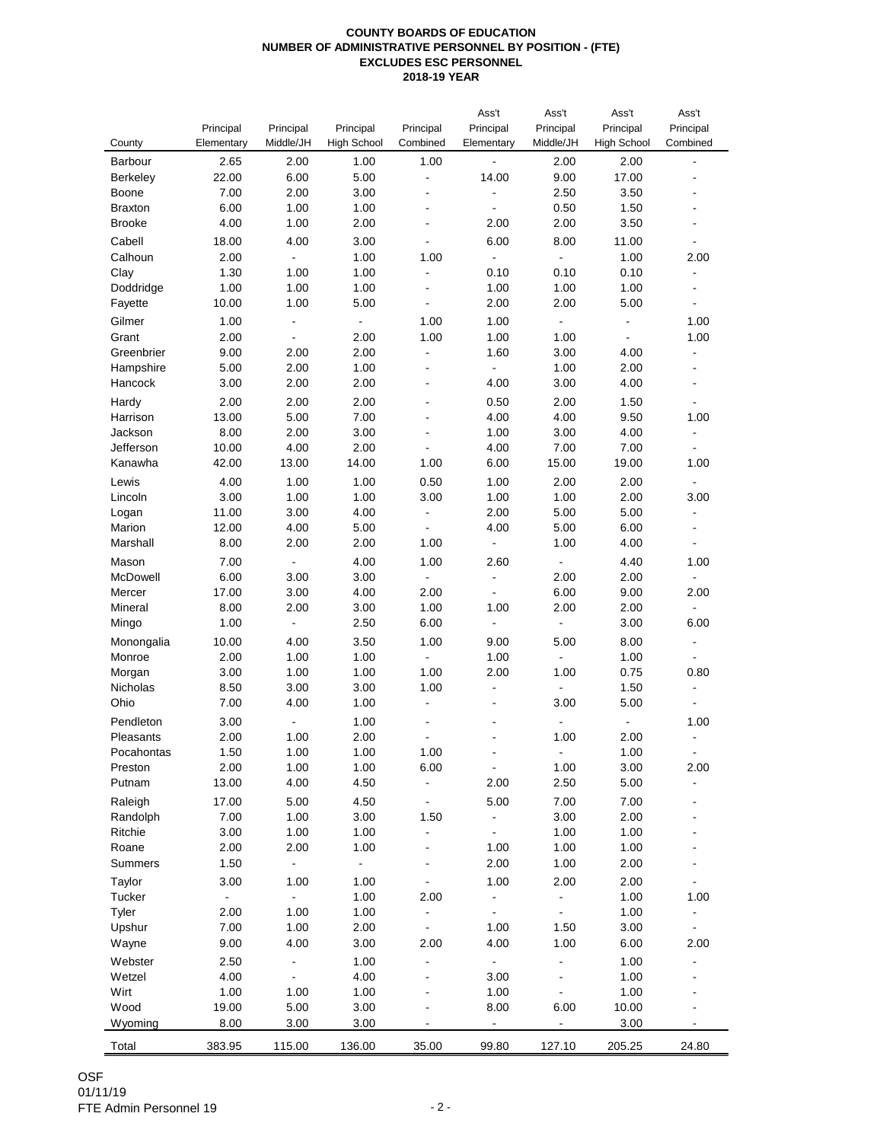## **COUNTY BOARDS OF EDUCATION NUMBER OF ADMINISTRATIVE PERSONNEL BY POSITION - (FTE) EXCLUDES ESC PERSONNEL 2018-19 YEAR**

|                   |                |                          |                    |                          | Ass't                        | Ass't                    | Ass't                    | Ass't                    |
|-------------------|----------------|--------------------------|--------------------|--------------------------|------------------------------|--------------------------|--------------------------|--------------------------|
|                   | Principal      | Principal                | Principal          | Principal                | Principal                    | Principal                | Principal                | Principal                |
| County            | Elementary     | Middle/JH                | <b>High School</b> | Combined                 | Elementary                   | Middle/JH                | <b>High School</b>       | Combined                 |
| Barbour           | 2.65           | 2.00                     | 1.00               | 1.00                     | $\overline{\phantom{a}}$     | 2.00                     | 2.00                     | $\blacksquare$           |
| Berkeley          | 22.00          | 6.00                     | 5.00               | $\overline{a}$           | 14.00                        | 9.00                     | 17.00                    |                          |
| Boone             | 7.00           | 2.00                     | 3.00               | ä,                       |                              | 2.50                     | 3.50                     |                          |
| <b>Braxton</b>    | 6.00           | 1.00                     | 1.00               | ä,                       |                              | 0.50                     | 1.50                     |                          |
| <b>Brooke</b>     | 4.00           | 1.00                     | 2.00               | L                        | 2.00                         | 2.00                     | 3.50                     |                          |
| Cabell            | 18.00          | 4.00                     | 3.00               | L                        | 6.00                         | 8.00                     | 11.00                    | $\blacksquare$           |
| Calhoun           | 2.00           | $\Box$                   | 1.00               | 1.00                     | $\blacksquare$               | $\blacksquare$           | 1.00                     | 2.00                     |
| Clay              | 1.30           | 1.00                     | 1.00               |                          | 0.10                         | 0.10                     | 0.10                     | $\blacksquare$           |
| Doddridge         | 1.00           | 1.00                     | 1.00               | ٠                        | 1.00                         | 1.00                     | 1.00                     | $\overline{\phantom{0}}$ |
| Fayette           | 10.00          | 1.00                     | 5.00               | L                        | 2.00                         | 2.00                     | 5.00                     |                          |
| Gilmer            | 1.00           | $\overline{\phantom{a}}$ | ÷,                 | 1.00                     | 1.00                         | $\blacksquare$           | $\blacksquare$           | 1.00                     |
| Grant             | 2.00           | ÷,                       | 2.00               | 1.00                     | 1.00                         | 1.00                     | $\overline{\phantom{a}}$ | 1.00                     |
| Greenbrier        | 9.00           | 2.00                     | 2.00               | ÷,                       | 1.60                         | 3.00                     | 4.00                     | $\blacksquare$           |
| Hampshire         | 5.00           | 2.00                     | 1.00               | $\frac{1}{2}$            | $\blacksquare$               | 1.00                     | 2.00                     | $\blacksquare$           |
| Hancock           | 3.00           | 2.00                     | 2.00               | ä,                       | 4.00                         | 3.00                     | 4.00                     |                          |
|                   |                |                          |                    | ä,                       |                              |                          |                          | $\overline{\phantom{a}}$ |
| Hardy<br>Harrison | 2.00<br>13.00  | 2.00<br>5.00             | 2.00<br>7.00       | ÷,                       | 0.50<br>4.00                 | 2.00<br>4.00             | 1.50<br>9.50             | 1.00                     |
| Jackson           | 8.00           | 2.00                     | 3.00               | L,                       | 1.00                         | 3.00                     | 4.00                     | $\blacksquare$           |
| Jefferson         | 10.00          | 4.00                     | 2.00               | $\overline{\phantom{0}}$ | 4.00                         | 7.00                     | 7.00                     | $\blacksquare$           |
| Kanawha           | 42.00          | 13.00                    | 14.00              | 1.00                     | 6.00                         | 15.00                    | 19.00                    | 1.00                     |
|                   |                |                          |                    |                          |                              |                          |                          |                          |
| Lewis             | 4.00           | 1.00                     | 1.00               | 0.50                     | 1.00                         | 2.00                     | 2.00                     | $\blacksquare$           |
| Lincoln           | 3.00           | 1.00                     | 1.00               | 3.00                     | 1.00                         | 1.00                     | 2.00                     | 3.00                     |
| Logan             | 11.00          | 3.00                     | 4.00               | $\frac{1}{2}$            | 2.00                         | 5.00                     | 5.00                     | $\blacksquare$           |
| Marion            | 12.00          | 4.00                     | 5.00               |                          | 4.00                         | 5.00                     | 6.00                     |                          |
| Marshall          | 8.00           | 2.00                     | 2.00               | 1.00                     | $\qquad \qquad \blacksquare$ | 1.00                     | 4.00                     | $\blacksquare$           |
| Mason             | 7.00           | $\blacksquare$           | 4.00               | 1.00                     | 2.60                         | $\blacksquare$           | 4.40                     | 1.00                     |
| McDowell          | 6.00           | 3.00                     | 3.00               | $\overline{\phantom{a}}$ | ÷,                           | 2.00                     | 2.00                     | $\blacksquare$           |
| Mercer            | 17.00          | 3.00                     | 4.00               | 2.00                     | $\overline{\phantom{0}}$     | 6.00                     | 9.00                     | 2.00                     |
| Mineral           | 8.00           | 2.00                     | 3.00               | 1.00                     | 1.00                         | 2.00                     | 2.00                     | $\blacksquare$           |
| Mingo             | 1.00           | $\blacksquare$           | 2.50               | 6.00                     | $\frac{1}{2}$                | $\blacksquare$           | 3.00                     | 6.00                     |
| Monongalia        | 10.00          | 4.00                     | 3.50               | 1.00                     | 9.00                         | 5.00                     | 8.00                     | $\overline{\phantom{a}}$ |
| Monroe            | 2.00           | 1.00                     | 1.00               | $\blacksquare$           | 1.00                         | $\blacksquare$           | 1.00                     | $\blacksquare$           |
| Morgan            | 3.00           | 1.00                     | 1.00               | 1.00                     | 2.00                         | 1.00                     | 0.75                     | 0.80                     |
| Nicholas          | 8.50           | 3.00                     | 3.00               | 1.00                     | $\qquad \qquad \blacksquare$ |                          | 1.50                     |                          |
| Ohio              | 7.00           | 4.00                     | 1.00               | $\frac{1}{2}$            |                              | 3.00                     | 5.00                     | $\overline{\phantom{a}}$ |
| Pendleton         | 3.00           |                          | 1.00               |                          |                              |                          |                          | 1.00                     |
| Pleasants         | 2.00           | 1.00                     | 2.00               |                          |                              | 1.00                     | 2.00                     | ÷,                       |
| Pocahontas        | 1.50           | 1.00                     | 1.00               | 1.00                     |                              |                          | 1.00                     |                          |
| Preston           | 2.00           | 1.00                     | 1.00               | 6.00                     | $\frac{1}{2}$                | 1.00                     | 3.00                     | 2.00                     |
| Putnam            | 13.00          | 4.00                     | 4.50               | $\overline{\phantom{0}}$ | 2.00                         | 2.50                     | 5.00                     |                          |
| Raleigh           | 17.00          | 5.00                     | 4.50               | $\overline{\phantom{0}}$ | 5.00                         | 7.00                     | 7.00                     |                          |
| Randolph          | 7.00           | 1.00                     | 3.00               | 1.50                     | $\frac{1}{2}$                | 3.00                     | 2.00                     |                          |
| Ritchie           | 3.00           | 1.00                     | 1.00               | -                        | $\blacksquare$               | 1.00                     | 1.00                     |                          |
| Roane             | 2.00           | 2.00                     | 1.00               |                          | 1.00                         | 1.00                     | 1.00                     |                          |
| Summers           | 1.50           | $\blacksquare$           | ÷.                 |                          | 2.00                         | 1.00                     | 2.00                     |                          |
| Taylor            | 3.00           | 1.00                     | 1.00               |                          | 1.00                         | 2.00                     | 2.00                     | $\overline{\phantom{a}}$ |
| Tucker            | $\blacksquare$ | $\blacksquare$           | 1.00               | 2.00                     | ÷,                           | $\blacksquare$           | 1.00                     | 1.00                     |
| Tyler             | 2.00           | 1.00                     | 1.00               | -                        | $\overline{\phantom{0}}$     | $\frac{1}{2}$            | 1.00                     | $\frac{1}{2}$            |
| Upshur            | 7.00           | 1.00                     | 2.00               | ۰                        | 1.00                         | 1.50                     | 3.00                     | ٠                        |
| Wayne             | 9.00           | 4.00                     | 3.00               | 2.00                     | 4.00                         | 1.00                     | 6.00                     | 2.00                     |
| Webster           | 2.50           | $\blacksquare$           | 1.00               |                          | $\omega_{\rm c}$             |                          | 1.00                     |                          |
| Wetzel            | 4.00           | $\blacksquare$           | 4.00               |                          | 3.00                         |                          | 1.00                     |                          |
| Wirt              | 1.00           | 1.00                     | 1.00               |                          | 1.00                         | $\overline{\phantom{0}}$ | 1.00                     |                          |
| Wood              | 19.00          | 5.00                     | 3.00               |                          | 8.00                         | 6.00                     | 10.00                    |                          |
| Wyoming           | 8.00           | 3.00                     | 3.00               |                          | $\blacksquare$               | $\blacksquare$           | 3.00                     |                          |
| Total             | 383.95         | 115.00                   | 136.00             | 35.00                    | 99.80                        | 127.10                   | 205.25                   | 24.80                    |